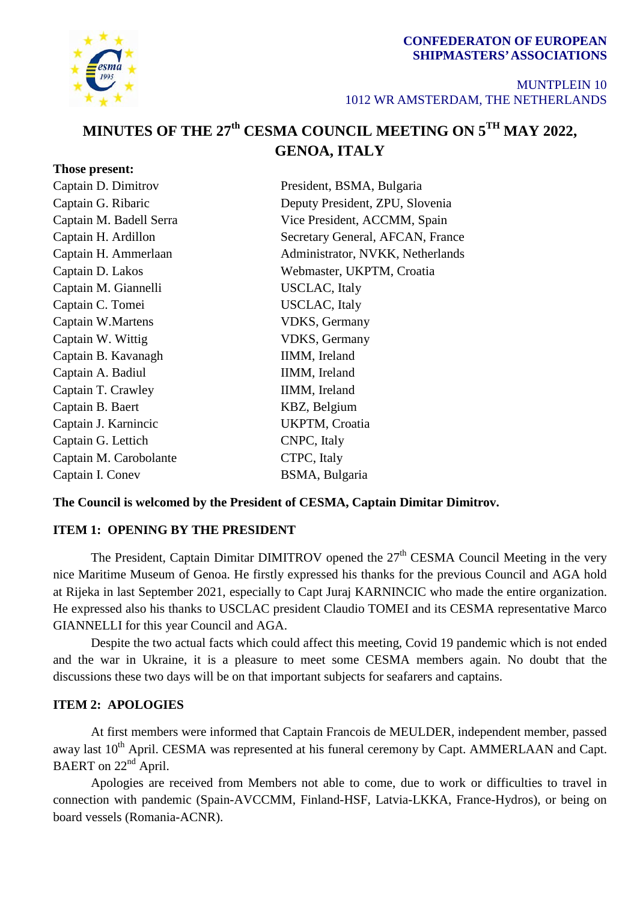### **CONFEDERATON OF EUROPEAN SHIPMASTERS'ASSOCIATIONS**



**Those present:**

#### MUNTPLEIN 10 1012 WR AMSTERDAM, THE NETHERLANDS

# **MINUTES OF THE 27th CESMA COUNCIL MEETING ON 5TH MAY 2022, GENOA, ITALY**

| Captain D. Dimitrov     | President, BSMA, Bulgaria        |
|-------------------------|----------------------------------|
| Captain G. Ribaric      | Deputy President, ZPU, Slovenia  |
| Captain M. Badell Serra | Vice President, ACCMM, Spain     |
| Captain H. Ardillon     | Secretary General, AFCAN, France |
| Captain H. Ammerlaan    | Administrator, NVKK, Netherlands |
| Captain D. Lakos        | Webmaster, UKPTM, Croatia        |
| Captain M. Giannelli    | USCLAC, Italy                    |
| Captain C. Tomei        | <b>USCLAC</b> , Italy            |
| Captain W.Martens       | <b>VDKS</b> , Germany            |
| Captain W. Wittig       | <b>VDKS</b> , Germany            |
| Captain B. Kavanagh     | IIMM, Ireland                    |
| Captain A. Badiul       | IIMM, Ireland                    |
| Captain T. Crawley      | IIMM, Ireland                    |
| Captain B. Baert        | KBZ, Belgium                     |
| Captain J. Karnincic    | UKPTM, Croatia                   |
| Captain G. Lettich      | CNPC, Italy                      |
| Captain M. Carobolante  | CTPC, Italy                      |
| Captain I. Conev        | BSMA, Bulgaria                   |
|                         |                                  |

## **The Council is welcomed by the President of CESMA, Captain Dimitar Dimitrov.**

## **ITEM 1: OPENING BY THE PRESIDENT**

The President, Captain Dimitar DIMITROV opened the 27<sup>th</sup> CESMA Council Meeting in the very nice Maritime Museum of Genoa. He firstly expressed his thanks for the previous Council and AGA hold at Rijeka in last September 2021, especially to Capt Juraj KARNINCIC who made the entire organization. He expressed also his thanks to USCLAC president Claudio TOMEI and its CESMA representative Marco GIANNELLI for this year Council and AGA.

Despite the two actual facts which could affect this meeting, Covid 19 pandemic which is not ended and the war in Ukraine, it is a pleasure to meet some CESMA members again. No doubt that the discussions these two days will be on that important subjects for seafarers and captains.

## **ITEM 2: APOLOGIES**

At first members were informed that Captain Francois de MEULDER, independent member, passed away last 10<sup>th</sup> April. CESMA was represented at his funeral ceremony by Capt. AMMERLAAN and Capt. BAERT on 22<sup>nd</sup> April.

Apologies are received from Members not able to come, due to work or difficulties to travel in connection with pandemic (Spain-AVCCMM, Finland-HSF, Latvia-LKKA, France-Hydros), or being on board vessels (Romania-ACNR).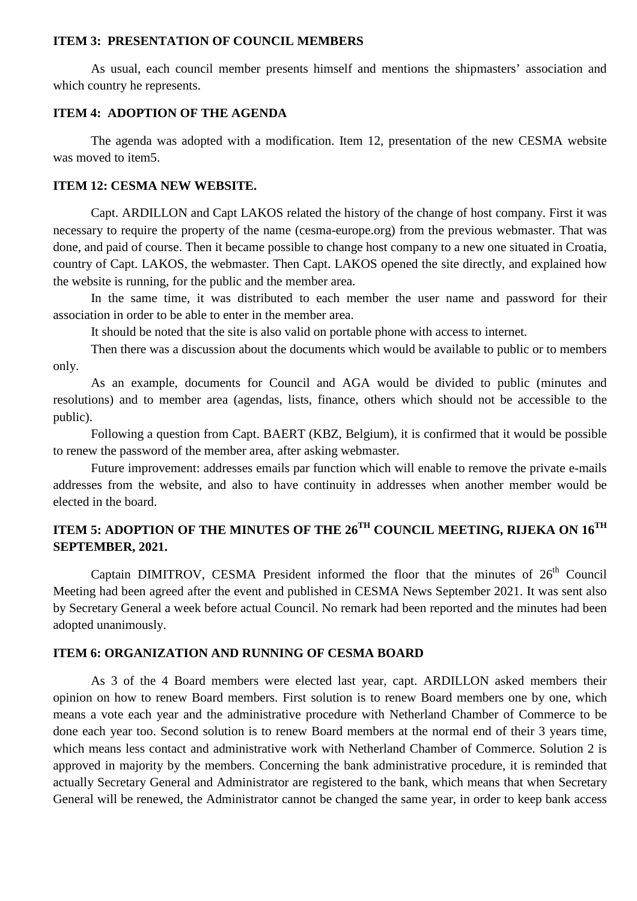#### **ITEM 3: PRESENTATION OF COUNCIL MEMBERS**

As usual, each council member presents himself and mentions the shipmasters' association and which country he represents.

## **ITEM 4: ADOPTION OF THE AGENDA**

The agenda was adopted with a modification. Item 12, presentation of the new CESMA website was moved to item5.

#### **ITEM 12: CESMA NEW WEBSITE.**

Capt. ARDILLON and Capt LAKOS related the history of the change of host company. First it was necessary to require the property of the name (cesma-europe.org) from the previous webmaster. That was done, and paid of course. Then it became possible to change host company to a new one situated in Croatia, country of Capt. LAKOS, the webmaster. Then Capt. LAKOS opened the site directly, and explained how the website is running, for the public and the member area.

In the same time, it was distributed to each member the user name and password for their association in order to be able to enter in the member area.

It should be noted that the site is also valid on portable phone with access to internet.

Then there was a discussion about the documents which would be available to public or to members only.

As an example, documents for Council and AGA would be divided to public (minutes and resolutions) and to member area (agendas, lists, finance, others which should not be accessible to the public).

Following a question from Capt. BAERT (KBZ, Belgium), it is confirmed that it would be possible to renew the password of the member area, after asking webmaster.

Future improvement: addresses emails par function which will enable to remove the private e-mails addresses from the website, and also to have continuity in addresses when another member would be elected in the board.

## **ITEM 5: ADOPTION OF THE MINUTES OF THE 26TH COUNCIL MEETING, RIJEKA ON 16TH SEPTEMBER, 2021.**

Captain DIMITROV, CESMA President informed the floor that the minutes of  $26<sup>th</sup>$  Council Meeting had been agreed after the event and published in CESMA News September 2021. It was sent also by Secretary General a week before actual Council. No remark had been reported and the minutes had been adopted unanimously.

#### **ITEM 6: ORGANIZATION AND RUNNING OF CESMA BOARD**

As 3 of the 4 Board members were elected last year, capt. ARDILLON asked members their opinion on how to renew Board members. First solution is to renew Board members one by one, which means a vote each year and the administrative procedure with Netherland Chamber of Commerce to be done each year too. Second solution is to renew Board members at the normal end of their 3 years time, which means less contact and administrative work with Netherland Chamber of Commerce. Solution 2 is approved in majority by the members. Concerning the bank administrative procedure, it is reminded that actually Secretary General and Administrator are registered to the bank, which means that when Secretary General will be renewed, the Administrator cannot be changed the same year, in order to keep bank access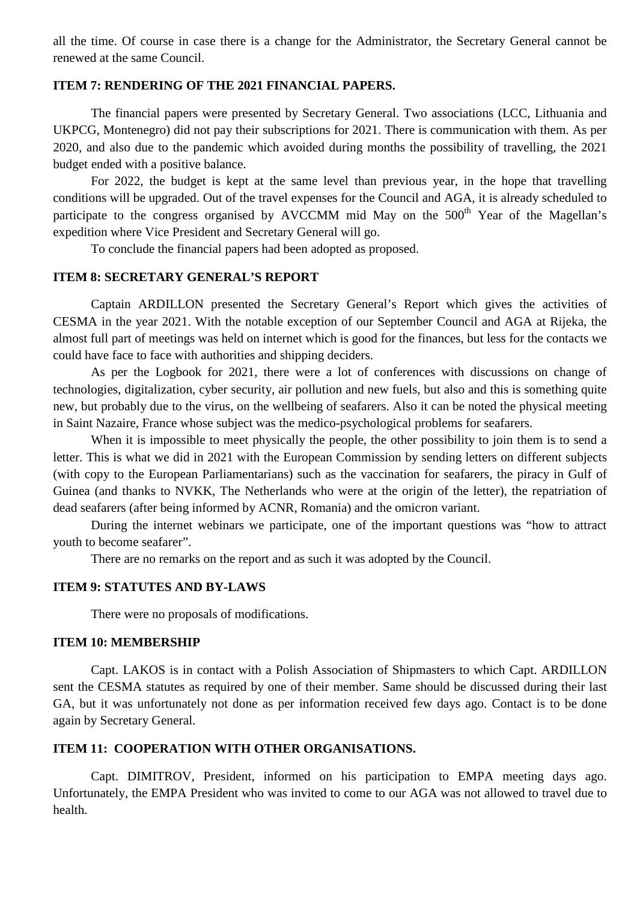all the time. Of course in case there is a change for the Administrator, the Secretary General cannot be renewed at the same Council.

#### **ITEM 7: RENDERING OF THE 2021 FINANCIAL PAPERS.**

The financial papers were presented by Secretary General. Two associations (LCC, Lithuania and UKPCG, Montenegro) did not pay their subscriptions for 2021. There is communication with them. As per 2020, and also due to the pandemic which avoided during months the possibility of travelling, the 2021 budget ended with a positive balance.

For 2022, the budget is kept at the same level than previous year, in the hope that travelling conditions will be upgraded. Out of the travel expenses for the Council and AGA, it is already scheduled to participate to the congress organised by AVCCMM mid May on the  $500<sup>th</sup>$  Year of the Magellan's expedition where Vice President and Secretary General will go.

To conclude the financial papers had been adopted as proposed.

#### **ITEM 8: SECRETARY GENERAL'S REPORT**

Captain ARDILLON presented the Secretary General's Report which gives the activities of CESMA in the year 2021. With the notable exception of our September Council and AGA at Rijeka, the almost full part of meetings was held on internet which is good for the finances, but less for the contacts we could have face to face with authorities and shipping deciders.

As per the Logbook for 2021, there were a lot of conferences with discussions on change of technologies, digitalization, cyber security, air pollution and new fuels, but also and this is something quite new, but probably due to the virus, on the wellbeing of seafarers. Also it can be noted the physical meeting in Saint Nazaire, France whose subject was the medico-psychological problems for seafarers.

When it is impossible to meet physically the people, the other possibility to join them is to send a letter. This is what we did in 2021 with the European Commission by sending letters on different subjects (with copy to the European Parliamentarians) such as the vaccination for seafarers, the piracy in Gulf of Guinea (and thanks to NVKK, The Netherlands who were at the origin of the letter), the repatriation of dead seafarers (after being informed by ACNR, Romania) and the omicron variant.

During the internet webinars we participate, one of the important questions was "how to attract youth to become seafarer".

There are no remarks on the report and as such it was adopted by the Council.

#### **ITEM 9: STATUTES AND BY-LAWS**

There were no proposals of modifications.

#### **ITEM 10: MEMBERSHIP**

Capt. LAKOS is in contact with a Polish Association of Shipmasters to which Capt. ARDILLON sent the CESMA statutes as required by one of their member. Same should be discussed during their last GA, but it was unfortunately not done as per information received few days ago. Contact is to be done again by Secretary General.

### **ITEM 11: COOPERATION WITH OTHER ORGANISATIONS.**

Capt. DIMITROV, President, informed on his participation to EMPA meeting days ago. Unfortunately, the EMPA President who was invited to come to our AGA was not allowed to travel due to health.